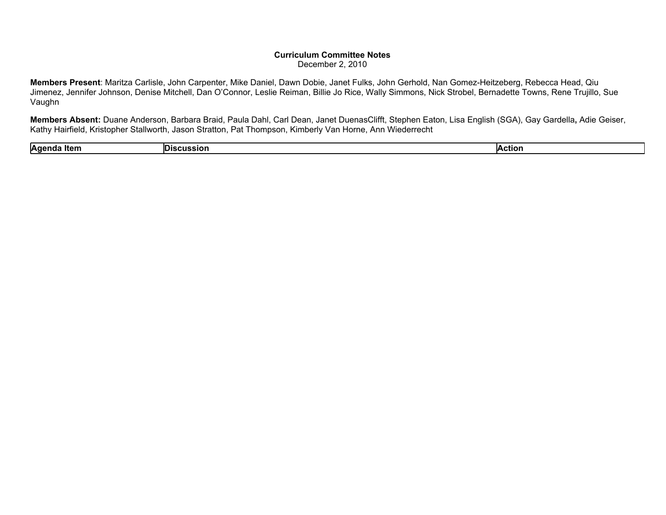## **Curriculum Committee Notes** December 2, 2010

**Members Present**: Maritza Carlisle, John Carpenter, Mike Daniel, Dawn Dobie, Janet Fulks, John Gerhold, Nan Gomez-Heitzeberg, Rebecca Head, Qiu Jimenez, Jennifer Johnson, Denise Mitchell, Dan O'Connor, Leslie Reiman, Billie Jo Rice, Wally Simmons, Nick Strobel, Bernadette Towns, Rene Trujillo, Sue Vaughn

**Members Absent:** Duane Anderson, Barbara Braid, Paula Dahl, Carl Dean, Janet DuenasClifft, Stephen Eaton, Lisa English (SGA), Gay Gardella**,** Adie Geiser, Kathy Hairfield, Kristopher Stallworth, Jason Stratton, Pat Thompson, Kimberly Van Horne, Ann Wiederrecht

| Agend<br>ltem | ner.<br>ussion | <b>IAction</b> |
|---------------|----------------|----------------|
|               |                |                |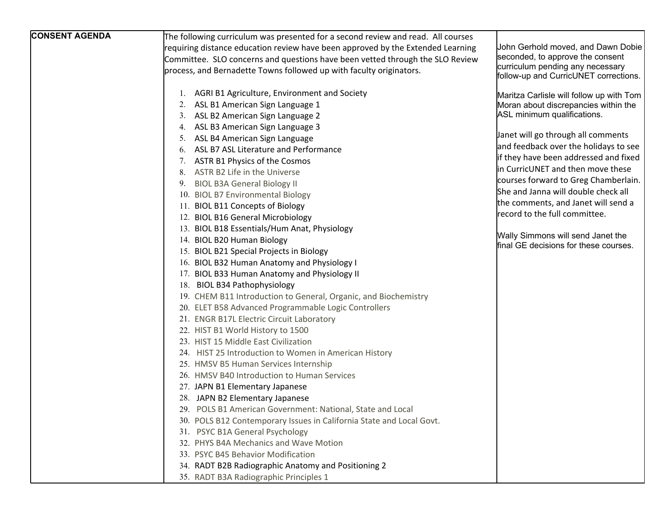| <b>CONSENT AGENDA</b> | The following curriculum was presented for a second review and read. All courses |                                                                            |
|-----------------------|----------------------------------------------------------------------------------|----------------------------------------------------------------------------|
|                       | requiring distance education review have been approved by the Extended Learning  | John Gerhold moved, and Dawn Dobie                                         |
|                       | Committee. SLO concerns and questions have been vetted through the SLO Review    | seconded, to approve the consent                                           |
|                       | process, and Bernadette Towns followed up with faculty originators.              | curriculum pending any necessary                                           |
|                       |                                                                                  | follow-up and CurricUNET corrections.                                      |
|                       | 1. AGRI B1 Agriculture, Environment and Society                                  | Maritza Carlisle will follow up with Tom                                   |
|                       | ASL B1 American Sign Language 1<br>2.                                            | Moran about discrepancies within the                                       |
|                       | ASL B2 American Sign Language 2                                                  | ASL minimum qualifications.                                                |
|                       | 4. ASL B3 American Sign Language 3                                               |                                                                            |
|                       | ASL B4 American Sign Language<br>5.                                              | Janet will go through all comments                                         |
|                       | ASL B7 ASL Literature and Performance<br>6.                                      | and feedback over the holidays to see                                      |
|                       | ASTR B1 Physics of the Cosmos                                                    | if they have been addressed and fixed                                      |
|                       | ASTR B2 Life in the Universe<br>8.                                               | in CurricUNET and then move these                                          |
|                       | 9. BIOL B3A General Biology II                                                   | courses forward to Greg Chamberlain.                                       |
|                       | 10. BIOL B7 Environmental Biology                                                | She and Janna will double check all                                        |
|                       | 11. BIOL B11 Concepts of Biology                                                 | the comments, and Janet will send a                                        |
|                       | 12. BIOL B16 General Microbiology                                                | record to the full committee.                                              |
|                       | 13. BIOL B18 Essentials/Hum Anat, Physiology                                     |                                                                            |
|                       | 14. BIOL B20 Human Biology                                                       | Wally Simmons will send Janet the<br>final GE decisions for these courses. |
|                       | 15. BIOL B21 Special Projects in Biology                                         |                                                                            |
|                       | 16. BIOL B32 Human Anatomy and Physiology I                                      |                                                                            |
|                       | 17. BIOL B33 Human Anatomy and Physiology II                                     |                                                                            |
|                       | 18. BIOL B34 Pathophysiology                                                     |                                                                            |
|                       | 19. CHEM B11 Introduction to General, Organic, and Biochemistry                  |                                                                            |
|                       | 20. ELET B58 Advanced Programmable Logic Controllers                             |                                                                            |
|                       | 21. ENGR B17L Electric Circuit Laboratory                                        |                                                                            |
|                       | 22. HIST B1 World History to 1500                                                |                                                                            |
|                       | 23. HIST 15 Middle East Civilization                                             |                                                                            |
|                       | 24. HIST 25 Introduction to Women in American History                            |                                                                            |
|                       | 25. HMSV B5 Human Services Internship                                            |                                                                            |
|                       | 26. HMSV B40 Introduction to Human Services                                      |                                                                            |
|                       | 27. JAPN B1 Elementary Japanese                                                  |                                                                            |
|                       | 28. JAPN B2 Elementary Japanese                                                  |                                                                            |
|                       | 29. POLS B1 American Government: National, State and Local                       |                                                                            |
|                       | 30. POLS B12 Contemporary Issues in California State and Local Govt.             |                                                                            |
|                       | 31. PSYC B1A General Psychology                                                  |                                                                            |
|                       | 32. PHYS B4A Mechanics and Wave Motion                                           |                                                                            |
|                       | 33. PSYC B45 Behavior Modification                                               |                                                                            |
|                       | 34. RADT B2B Radiographic Anatomy and Positioning 2                              |                                                                            |
|                       | 35. RADT B3A Radiographic Principles 1                                           |                                                                            |